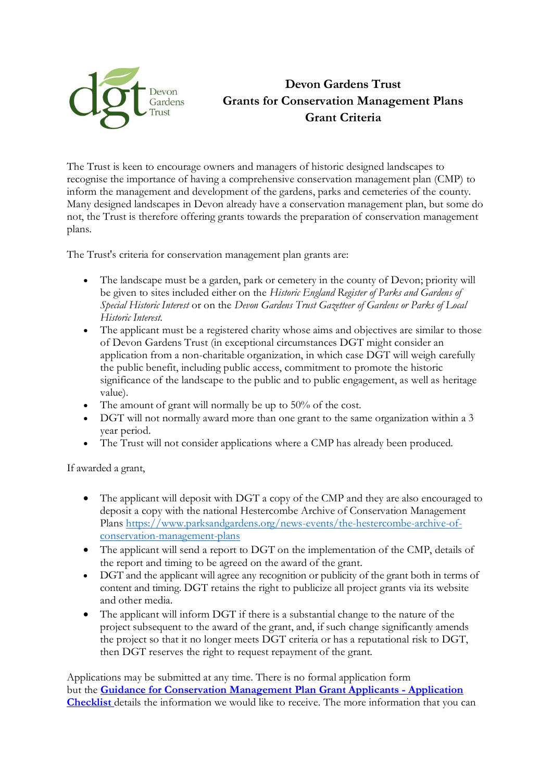

## **Devon Gardens Trust Devon Gardens Trust Grants for Conservation Management Plans Grant Criteria**

The Trust is keen to encourage owners and managers of historic designed landscapes to recognise the importance of having a comprehensive conservation management plan (CMP) to inform the management and development of the gardens, parks and cemeteries of the county. Many designed landscapes in Devon already have a conservation management plan, but some do not, the Trust is therefore offering grants towards the preparation of conservation management plans.

The Trust's criteria for conservation management plan grants are:

- The landscape must be a garden, park or cemetery in the county of Devon; priority will be given to sites included either on the *Historic England Register of Parks and Gardens of Special Historic Interest* or on the *Devon Gardens Trust Gazetteer of Gardens or Parks of Local Historic Interest*.
- The applicant must be a registered charity whose aims and objectives are similar to those of Devon Gardens Trust (in exceptional circumstances DGT might consider an application from a non-charitable organization, in which case DGT will weigh carefully the public benefit, including public access, commitment to promote the historic significance of the landscape to the public and to public engagement, as well as heritage value).
- The amount of grant will normally be up to 50% of the cost.
- DGT will not normally award more than one grant to the same organization within a 3 year period.
- The Trust will not consider applications where a CMP has already been produced.

If awarded a grant,

- The applicant will deposit with DGT a copy of the CMP and they are also encouraged to deposit a copy with the national Hestercombe Archive of Conservation Management Plans [https://www.parksandgardens.org/news-events/the-hestercombe-archive-of](https://www.parksandgardens.org/news-events/the-hestercombe-archive-of-conservation-management-plans)[conservation-management-plans](https://www.parksandgardens.org/news-events/the-hestercombe-archive-of-conservation-management-plans)
- The applicant will send a report to DGT on the implementation of the CMP, details of the report and timing to be agreed on the award of the grant.
- DGT and the applicant will agree any recognition or publicity of the grant both in terms of content and timing. DGT retains the right to publicize all project grants via its website and other media.
- The applicant will inform DGT if there is a substantial change to the nature of the project subsequent to the award of the grant, and, if such change significantly amends the project so that it no longer meets DGT criteria or has a reputational risk to DGT, then DGT reserves the right to request repayment of the grant.

Applications may be submitted at any time. There is no formal application form but the **[Guidance for Conservation Management](file://///sites/default/files/content/Checklist%252520for%252520Conservation%252520Project%252520Grant%252520Applicants.pdf) Plan Grant Applicants - Application [Checklist](file://///sites/default/files/content/Checklist%252520for%252520Conservation%252520Project%252520Grant%252520Applicants.pdf)** details the information we would like to receive. The more information that you can